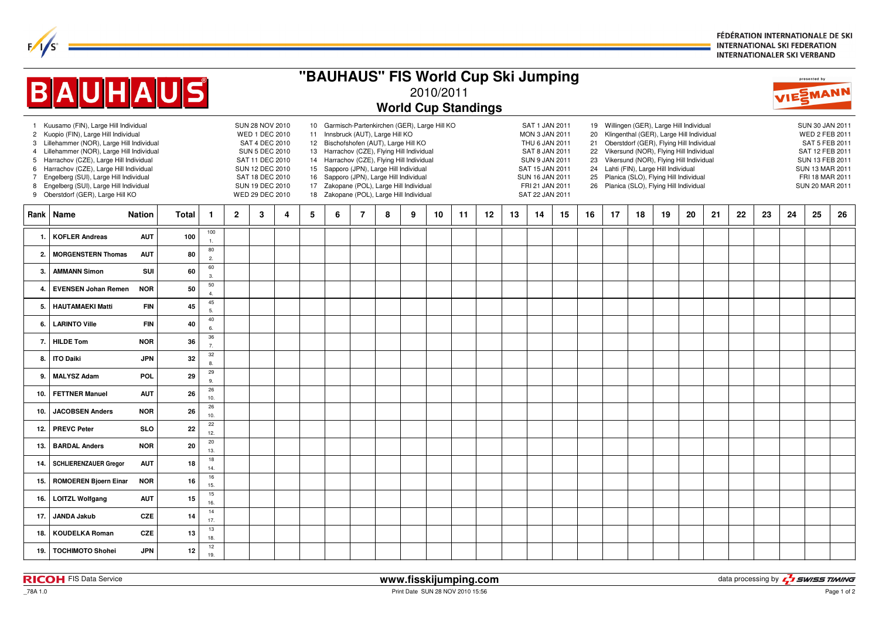FÉDÉRATION INTERNATIONALE DE SKI **INTERNATIONAL SKI FEDERATION INTERNATIONALER SKI VERBAND** 

| "BAUHAUS" FIS World Cup Ski Jumping     |                                                                                                                                                                                                                                                                                                                                                                                      |              |                                                                                                                                                                             |                |                                                                                                                                                                                                                                                                                                                                                                                                        |   |   |   |   |   |   |    |    |                                                                                                                                                                                  | presented by |                                        |    |    |                                                                                                                                                                                                                                                                                                                                                 |    |                                                                                                                                                    |    |    |    |    |    |    |    |
|-----------------------------------------|--------------------------------------------------------------------------------------------------------------------------------------------------------------------------------------------------------------------------------------------------------------------------------------------------------------------------------------------------------------------------------------|--------------|-----------------------------------------------------------------------------------------------------------------------------------------------------------------------------|----------------|--------------------------------------------------------------------------------------------------------------------------------------------------------------------------------------------------------------------------------------------------------------------------------------------------------------------------------------------------------------------------------------------------------|---|---|---|---|---|---|----|----|----------------------------------------------------------------------------------------------------------------------------------------------------------------------------------|--------------|----------------------------------------|----|----|-------------------------------------------------------------------------------------------------------------------------------------------------------------------------------------------------------------------------------------------------------------------------------------------------------------------------------------------------|----|----------------------------------------------------------------------------------------------------------------------------------------------------|----|----|----|----|----|----|----|
| <b>BAUHAUS</b><br>2010/2011             |                                                                                                                                                                                                                                                                                                                                                                                      |              |                                                                                                                                                                             |                |                                                                                                                                                                                                                                                                                                                                                                                                        |   |   |   |   |   |   |    |    | VIESMANN                                                                                                                                                                         |              |                                        |    |    |                                                                                                                                                                                                                                                                                                                                                 |    |                                                                                                                                                    |    |    |    |    |    |    |    |
| <b>World Cup Standings</b>              |                                                                                                                                                                                                                                                                                                                                                                                      |              |                                                                                                                                                                             |                |                                                                                                                                                                                                                                                                                                                                                                                                        |   |   |   |   |   |   |    |    |                                                                                                                                                                                  |              |                                        |    |    |                                                                                                                                                                                                                                                                                                                                                 |    |                                                                                                                                                    |    |    |    |    |    |    |    |
| 3<br>4<br>5<br>6<br>$\overline{7}$<br>8 | 1 Kuusamo (FIN), Large Hill Individual<br>2 Kuopio (FIN), Large Hill Individual<br>Lillehammer (NOR), Large Hill Individual<br>Lillehammer (NOR), Large Hill Individual<br>Harrachov (CZE), Large Hill Individual<br>Harrachov (CZE), Large Hill Individual<br>Engelberg (SUI), Large Hill Individual<br>Engelberg (SUI), Large Hill Individual<br>9 Oberstdorf (GER), Large Hill KO |              | SUN 28 NOV 2010<br>WED 1 DEC 2010<br>SAT 4 DEC 2010<br><b>SUN 5 DEC 2010</b><br>SAT 11 DEC 2010<br>SUN 12 DEC 2010<br>SAT 18 DEC 2010<br>SUN 19 DEC 2010<br>WED 29 DEC 2010 |                | 10 Garmisch-Partenkirchen (GER), Large Hill KO<br>11 Innsbruck (AUT), Large Hill KO<br>12 Bischofshofen (AUT), Large Hill KO<br>13 Harrachov (CZE), Flying Hill Individual<br>14 Harrachov (CZE), Flying Hill Individual<br>15 Sapporo (JPN), Large Hill Individual<br>16 Sapporo (JPN), Large Hill Individual<br>17 Zakopane (POL), Large Hill Individual<br>18 Zakopane (POL), Large Hill Individual |   |   |   |   |   |   |    |    | SAT 1 JAN 2011<br><b>MON 3 JAN 2011</b><br>THU 6 JAN 2011<br>SAT 8 JAN 2011<br><b>SUN 9 JAN 2011</b><br>SAT 15 JAN 2011<br>SUN 16 JAN 2011<br>FRI 21 JAN 2011<br>SAT 22 JAN 2011 |              | 20<br>21<br>22<br>23<br>24<br>25<br>26 |    |    | 19 Willingen (GER), Large Hill Individual<br>Klingenthal (GER), Large Hill Individual<br>Oberstdorf (GER), Flying Hill Individual<br>Vikersund (NOR), Flying Hill Individual<br>Vikersund (NOR), Flying Hill Individual<br>Lahti (FIN), Large Hill Individual<br>Planica (SLO), Flying Hill Individual<br>Planica (SLO), Flying Hill Individual |    | SUN 30 JAN 2011<br>WED 2 FEB 2011<br>SAT 5 FEB 2011<br>SAT 12 FEB 2011<br>SUN 13 FEB 2011<br>SUN 13 MAR 2011<br>FRI 18 MAR 2011<br>SUN 20 MAR 2011 |    |    |    |    |    |    |    |
| Rank                                    | Name<br><b>Nation</b>                                                                                                                                                                                                                                                                                                                                                                | <b>Total</b> | $\mathbf{1}$                                                                                                                                                                | $\overline{2}$ | 3                                                                                                                                                                                                                                                                                                                                                                                                      | 4 | 5 | 6 | 7 | 8 | 9 | 10 | 11 | 12                                                                                                                                                                               | 13           | 14                                     | 15 | 16 | 17                                                                                                                                                                                                                                                                                                                                              | 18 | 19                                                                                                                                                 | 20 | 21 | 22 | 23 | 24 | 25 | 26 |
| $\mathbf{1}$                            | <b>KOFLER Andreas</b><br><b>AUT</b>                                                                                                                                                                                                                                                                                                                                                  | 100          | 100<br>$\overline{1}$                                                                                                                                                       |                |                                                                                                                                                                                                                                                                                                                                                                                                        |   |   |   |   |   |   |    |    |                                                                                                                                                                                  |              |                                        |    |    |                                                                                                                                                                                                                                                                                                                                                 |    |                                                                                                                                                    |    |    |    |    |    |    |    |
| $\overline{2}$                          | <b>MORGENSTERN Thomas</b><br><b>AUT</b>                                                                                                                                                                                                                                                                                                                                              | 80           | 80<br>$\overline{2}$ .                                                                                                                                                      |                |                                                                                                                                                                                                                                                                                                                                                                                                        |   |   |   |   |   |   |    |    |                                                                                                                                                                                  |              |                                        |    |    |                                                                                                                                                                                                                                                                                                                                                 |    |                                                                                                                                                    |    |    |    |    |    |    |    |
| 3.                                      | <b>AMMANN Simon</b><br>SUI                                                                                                                                                                                                                                                                                                                                                           | 60           | 60<br>$\overline{3}$                                                                                                                                                        |                |                                                                                                                                                                                                                                                                                                                                                                                                        |   |   |   |   |   |   |    |    |                                                                                                                                                                                  |              |                                        |    |    |                                                                                                                                                                                                                                                                                                                                                 |    |                                                                                                                                                    |    |    |    |    |    |    |    |
| 4                                       | <b>NOR</b><br><b>EVENSEN Johan Remen</b>                                                                                                                                                                                                                                                                                                                                             | 50           | 50<br>$\overline{4}$                                                                                                                                                        |                |                                                                                                                                                                                                                                                                                                                                                                                                        |   |   |   |   |   |   |    |    |                                                                                                                                                                                  |              |                                        |    |    |                                                                                                                                                                                                                                                                                                                                                 |    |                                                                                                                                                    |    |    |    |    |    |    |    |
| 5                                       | <b>FIN</b><br><b>HAUTAMAEKI Matti</b>                                                                                                                                                                                                                                                                                                                                                | 45           | 45<br>5.                                                                                                                                                                    |                |                                                                                                                                                                                                                                                                                                                                                                                                        |   |   |   |   |   |   |    |    |                                                                                                                                                                                  |              |                                        |    |    |                                                                                                                                                                                                                                                                                                                                                 |    |                                                                                                                                                    |    |    |    |    |    |    |    |
| 6.                                      | <b>LARINTO Ville</b><br><b>FIN</b>                                                                                                                                                                                                                                                                                                                                                   | 40           | 40<br>6.                                                                                                                                                                    |                |                                                                                                                                                                                                                                                                                                                                                                                                        |   |   |   |   |   |   |    |    |                                                                                                                                                                                  |              |                                        |    |    |                                                                                                                                                                                                                                                                                                                                                 |    |                                                                                                                                                    |    |    |    |    |    |    |    |
| 7.                                      | <b>NOR</b><br><b>HILDE Tom</b>                                                                                                                                                                                                                                                                                                                                                       | 36           | 36<br>$\overline{7}$                                                                                                                                                        |                |                                                                                                                                                                                                                                                                                                                                                                                                        |   |   |   |   |   |   |    |    |                                                                                                                                                                                  |              |                                        |    |    |                                                                                                                                                                                                                                                                                                                                                 |    |                                                                                                                                                    |    |    |    |    |    |    |    |
| 8.                                      | <b>ITO Daiki</b><br><b>JPN</b>                                                                                                                                                                                                                                                                                                                                                       | 32           | $32\,$<br>8.                                                                                                                                                                |                |                                                                                                                                                                                                                                                                                                                                                                                                        |   |   |   |   |   |   |    |    |                                                                                                                                                                                  |              |                                        |    |    |                                                                                                                                                                                                                                                                                                                                                 |    |                                                                                                                                                    |    |    |    |    |    |    |    |
| 9.                                      | <b>MALYSZ Adam</b><br>POL                                                                                                                                                                                                                                                                                                                                                            | 29           | 29<br>9.                                                                                                                                                                    |                |                                                                                                                                                                                                                                                                                                                                                                                                        |   |   |   |   |   |   |    |    |                                                                                                                                                                                  |              |                                        |    |    |                                                                                                                                                                                                                                                                                                                                                 |    |                                                                                                                                                    |    |    |    |    |    |    |    |
| 10.                                     | <b>FETTNER Manuel</b><br><b>AUT</b>                                                                                                                                                                                                                                                                                                                                                  | 26           | 26<br>10.                                                                                                                                                                   |                |                                                                                                                                                                                                                                                                                                                                                                                                        |   |   |   |   |   |   |    |    |                                                                                                                                                                                  |              |                                        |    |    |                                                                                                                                                                                                                                                                                                                                                 |    |                                                                                                                                                    |    |    |    |    |    |    |    |
| 10.                                     | <b>JACOBSEN Anders</b><br><b>NOR</b>                                                                                                                                                                                                                                                                                                                                                 | 26           | 26<br>10.                                                                                                                                                                   |                |                                                                                                                                                                                                                                                                                                                                                                                                        |   |   |   |   |   |   |    |    |                                                                                                                                                                                  |              |                                        |    |    |                                                                                                                                                                                                                                                                                                                                                 |    |                                                                                                                                                    |    |    |    |    |    |    |    |
| 12.                                     | <b>PREVC Peter</b><br><b>SLO</b>                                                                                                                                                                                                                                                                                                                                                     | 22           | 22<br>12.                                                                                                                                                                   |                |                                                                                                                                                                                                                                                                                                                                                                                                        |   |   |   |   |   |   |    |    |                                                                                                                                                                                  |              |                                        |    |    |                                                                                                                                                                                                                                                                                                                                                 |    |                                                                                                                                                    |    |    |    |    |    |    |    |
| 13.                                     | <b>BARDAL Anders</b><br><b>NOR</b>                                                                                                                                                                                                                                                                                                                                                   | 20           | 20<br>13.                                                                                                                                                                   |                |                                                                                                                                                                                                                                                                                                                                                                                                        |   |   |   |   |   |   |    |    |                                                                                                                                                                                  |              |                                        |    |    |                                                                                                                                                                                                                                                                                                                                                 |    |                                                                                                                                                    |    |    |    |    |    |    |    |
| 14.                                     | <b>SCHLIERENZAUER Gregor</b><br><b>AUT</b>                                                                                                                                                                                                                                                                                                                                           | 18           | 18<br>14.                                                                                                                                                                   |                |                                                                                                                                                                                                                                                                                                                                                                                                        |   |   |   |   |   |   |    |    |                                                                                                                                                                                  |              |                                        |    |    |                                                                                                                                                                                                                                                                                                                                                 |    |                                                                                                                                                    |    |    |    |    |    |    |    |
| 15.                                     | <b>ROMOEREN Bjoern Einar</b><br><b>NOR</b>                                                                                                                                                                                                                                                                                                                                           | 16           | 16<br>15.                                                                                                                                                                   |                |                                                                                                                                                                                                                                                                                                                                                                                                        |   |   |   |   |   |   |    |    |                                                                                                                                                                                  |              |                                        |    |    |                                                                                                                                                                                                                                                                                                                                                 |    |                                                                                                                                                    |    |    |    |    |    |    |    |
| 16.                                     | <b>LOITZL Wolfgang</b><br><b>AUT</b>                                                                                                                                                                                                                                                                                                                                                 | 15           | 15 <sub>15</sub><br>16.                                                                                                                                                     |                |                                                                                                                                                                                                                                                                                                                                                                                                        |   |   |   |   |   |   |    |    |                                                                                                                                                                                  |              |                                        |    |    |                                                                                                                                                                                                                                                                                                                                                 |    |                                                                                                                                                    |    |    |    |    |    |    |    |
| 17.                                     | <b>JANDA Jakub</b><br><b>CZE</b>                                                                                                                                                                                                                                                                                                                                                     | 14           | 14<br>17.                                                                                                                                                                   |                |                                                                                                                                                                                                                                                                                                                                                                                                        |   |   |   |   |   |   |    |    |                                                                                                                                                                                  |              |                                        |    |    |                                                                                                                                                                                                                                                                                                                                                 |    |                                                                                                                                                    |    |    |    |    |    |    |    |
| 18.                                     | <b>KOUDELKA Roman</b><br><b>CZE</b>                                                                                                                                                                                                                                                                                                                                                  | 13           | 13<br>18.                                                                                                                                                                   |                |                                                                                                                                                                                                                                                                                                                                                                                                        |   |   |   |   |   |   |    |    |                                                                                                                                                                                  |              |                                        |    |    |                                                                                                                                                                                                                                                                                                                                                 |    |                                                                                                                                                    |    |    |    |    |    |    |    |
| 19.                                     | <b>TOCHIMOTO Shohei</b><br><b>JPN</b>                                                                                                                                                                                                                                                                                                                                                | 12           | 12<br>19.                                                                                                                                                                   |                |                                                                                                                                                                                                                                                                                                                                                                                                        |   |   |   |   |   |   |    |    |                                                                                                                                                                                  |              |                                        |    |    |                                                                                                                                                                                                                                                                                                                                                 |    |                                                                                                                                                    |    |    |    |    |    |    |    |

 $F/1/s^2$